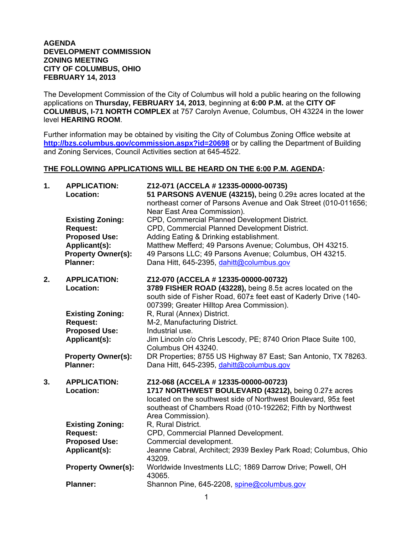## **AGENDA DEVELOPMENT COMMISSION ZONING MEETING CITY OF COLUMBUS, OHIO FEBRUARY 14, 2013**

The Development Commission of the City of Columbus will hold a public hearing on the following applications on **Thursday, FEBRUARY 14, 2013**, beginning at **6:00 P.M.** at the **CITY OF COLUMBUS, I-71 NORTH COMPLEX** at 757 Carolyn Avenue, Columbus, OH 43224 in the lower level **HEARING ROOM**.

Further information may be obtained by visiting the City of Columbus Zoning Office website at **http://bzs.columbus.gov/commission.aspx?id=20698** or by calling the Department of Building and Zoning Services, Council Activities section at 645-4522.

## **THE FOLLOWING APPLICATIONS WILL BE HEARD ON THE 6:00 P.M. AGENDA:**

| 1. | <b>APPLICATION:</b><br>Location:                                                                                                    | Z12-071 (ACCELA # 12335-00000-00735)<br>51 PARSONS AVENUE (43215), being 0.29± acres located at the<br>northeast corner of Parsons Avenue and Oak Street (010-011656;<br>Near East Area Commission).                                                                                                       |
|----|-------------------------------------------------------------------------------------------------------------------------------------|------------------------------------------------------------------------------------------------------------------------------------------------------------------------------------------------------------------------------------------------------------------------------------------------------------|
|    | <b>Existing Zoning:</b><br><b>Request:</b><br><b>Proposed Use:</b><br>Applicant(s):<br><b>Property Owner(s):</b><br><b>Planner:</b> | CPD, Commercial Planned Development District.<br>CPD, Commercial Planned Development District.<br>Adding Eating & Drinking establishment.<br>Matthew Mefferd; 49 Parsons Avenue; Columbus, OH 43215.<br>49 Parsons LLC; 49 Parsons Avenue; Columbus, OH 43215.<br>Dana Hitt, 645-2395, dahitt@columbus.gov |
| 2. | <b>APPLICATION:</b><br>Location:                                                                                                    | Z12-070 (ACCELA # 12335-00000-00732)<br>3789 FISHER ROAD (43228), being 8.5± acres located on the<br>south side of Fisher Road, 607± feet east of Kaderly Drive (140-<br>007399; Greater Hilltop Area Commission).                                                                                         |
|    | <b>Existing Zoning:</b>                                                                                                             | R, Rural (Annex) District.                                                                                                                                                                                                                                                                                 |
|    | <b>Request:</b><br><b>Proposed Use:</b>                                                                                             | M-2, Manufacturing District.<br>Industrial use.                                                                                                                                                                                                                                                            |
|    | Applicant(s):                                                                                                                       | Jim Lincoln c/o Chris Lescody, PE; 8740 Orion Place Suite 100,<br>Columbus OH 43240.                                                                                                                                                                                                                       |
|    | <b>Property Owner(s):</b><br><b>Planner:</b>                                                                                        | DR Properties; 8755 US Highway 87 East; San Antonio, TX 78263.<br>Dana Hitt, 645-2395, dahitt@columbus.gov                                                                                                                                                                                                 |
| 3. | <b>APPLICATION:</b><br>Location:                                                                                                    | Z12-068 (ACCELA # 12335-00000-00723)<br>1717 NORTHWEST BOULEVARD (43212), being 0.27± acres<br>located on the southwest side of Northwest Boulevard, 95± feet<br>southeast of Chambers Road (010-192262; Fifth by Northwest<br>Area Commission).                                                           |
|    | <b>Existing Zoning:</b>                                                                                                             | R, Rural District.                                                                                                                                                                                                                                                                                         |
|    | <b>Request:</b><br><b>Proposed Use:</b>                                                                                             | CPD, Commercial Planned Development.<br>Commercial development.                                                                                                                                                                                                                                            |
|    | Applicant(s):                                                                                                                       | Jeanne Cabral, Architect; 2939 Bexley Park Road; Columbus, Ohio<br>43209.                                                                                                                                                                                                                                  |
|    | <b>Property Owner(s):</b>                                                                                                           | Worldwide Investments LLC; 1869 Darrow Drive; Powell, OH<br>43065.                                                                                                                                                                                                                                         |
|    | <b>Planner:</b>                                                                                                                     | Shannon Pine, 645-2208, spine@columbus.gov                                                                                                                                                                                                                                                                 |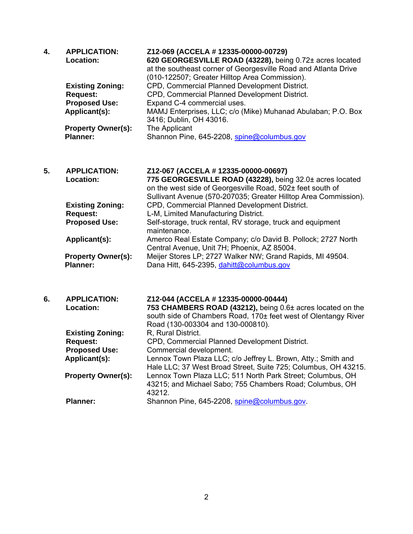| 4. | <b>APPLICATION:</b><br><b>Location:</b><br><b>Existing Zoning:</b><br><b>Request:</b><br><b>Proposed Use:</b><br>Applicant(s):<br><b>Property Owner(s):</b><br><b>Planner:</b> | Z12-069 (ACCELA # 12335-00000-00729)<br>620 GEORGESVILLE ROAD (43228), being 0.72± acres located<br>at the southeast corner of Georgesville Road and Atlanta Drive<br>(010-122507; Greater Hilltop Area Commission).<br>CPD, Commercial Planned Development District.<br>CPD, Commercial Planned Development District.<br>Expand C-4 commercial uses.<br>MAMJ Enterprises, LLC; c/o (Mike) Muhanad Abulaban; P.O. Box<br>3416; Dublin, OH 43016.<br>The Applicant<br>Shannon Pine, 645-2208, spine@columbus.gov |
|----|--------------------------------------------------------------------------------------------------------------------------------------------------------------------------------|-----------------------------------------------------------------------------------------------------------------------------------------------------------------------------------------------------------------------------------------------------------------------------------------------------------------------------------------------------------------------------------------------------------------------------------------------------------------------------------------------------------------|
| 5. | <b>APPLICATION:</b><br>Location:                                                                                                                                               | Z12-067 (ACCELA # 12335-00000-00697)<br>775 GEORGESVILLE ROAD (43228), being 32.0± acres located<br>on the west side of Georgesville Road, 502± feet south of<br>Sullivant Avenue (570-207035; Greater Hilltop Area Commission).                                                                                                                                                                                                                                                                                |
|    | <b>Existing Zoning:</b><br><b>Request:</b><br><b>Proposed Use:</b>                                                                                                             | CPD, Commercial Planned Development District.<br>L-M, Limited Manufacturing District.<br>Self-storage, truck rental, RV storage, truck and equipment<br>maintenance.                                                                                                                                                                                                                                                                                                                                            |
|    | Applicant(s):                                                                                                                                                                  | Amerco Real Estate Company; c/o David B. Pollock; 2727 North<br>Central Avenue, Unit 7H; Phoenix, AZ 85004.                                                                                                                                                                                                                                                                                                                                                                                                     |
|    | <b>Property Owner(s):</b><br><b>Planner:</b>                                                                                                                                   | Meijer Stores LP; 2727 Walker NW; Grand Rapids, MI 49504.<br>Dana Hitt, 645-2395, dahitt@columbus.gov                                                                                                                                                                                                                                                                                                                                                                                                           |
| 6. | <b>APPLICATION:</b><br>Location:                                                                                                                                               | Z12-044 (ACCELA # 12335-00000-00444)<br>753 CHAMBERS ROAD (43212), being 0.6± acres located on the<br>south side of Chambers Road, 170± feet west of Olentangy River<br>Road (130-003304 and 130-000810).                                                                                                                                                                                                                                                                                                       |
|    | <b>Existing Zoning:</b><br><b>Request:</b>                                                                                                                                     | R, Rural District.<br>CPD, Commercial Planned Development District.                                                                                                                                                                                                                                                                                                                                                                                                                                             |
|    | <b>Proposed Use:</b>                                                                                                                                                           | Commercial development.                                                                                                                                                                                                                                                                                                                                                                                                                                                                                         |
|    | Applicant(s):                                                                                                                                                                  | Lennox Town Plaza LLC; c/o Jeffrey L. Brown, Atty.; Smith and<br>Hale LLC; 37 West Broad Street, Suite 725; Columbus, OH 43215.                                                                                                                                                                                                                                                                                                                                                                                 |
|    | <b>Property Owner(s):</b>                                                                                                                                                      | Lennox Town Plaza LLC; 511 North Park Street; Columbus, OH<br>43215; and Michael Sabo; 755 Chambers Road; Columbus, OH<br>43212.                                                                                                                                                                                                                                                                                                                                                                                |
|    | <b>Planner:</b>                                                                                                                                                                | Shannon Pine, 645-2208, spine@columbus.gov.                                                                                                                                                                                                                                                                                                                                                                                                                                                                     |